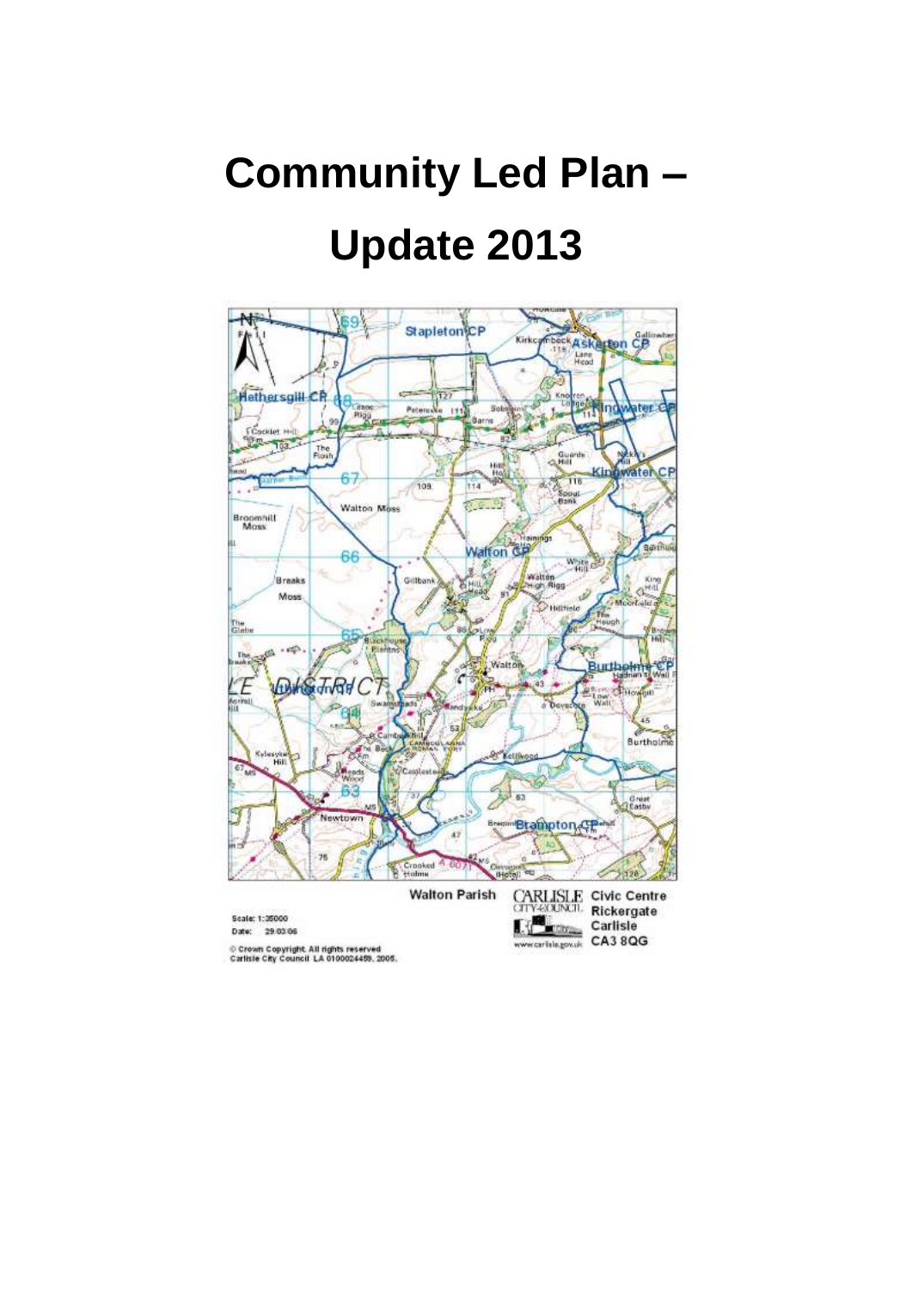# **Community Led Plan – Update 2013**

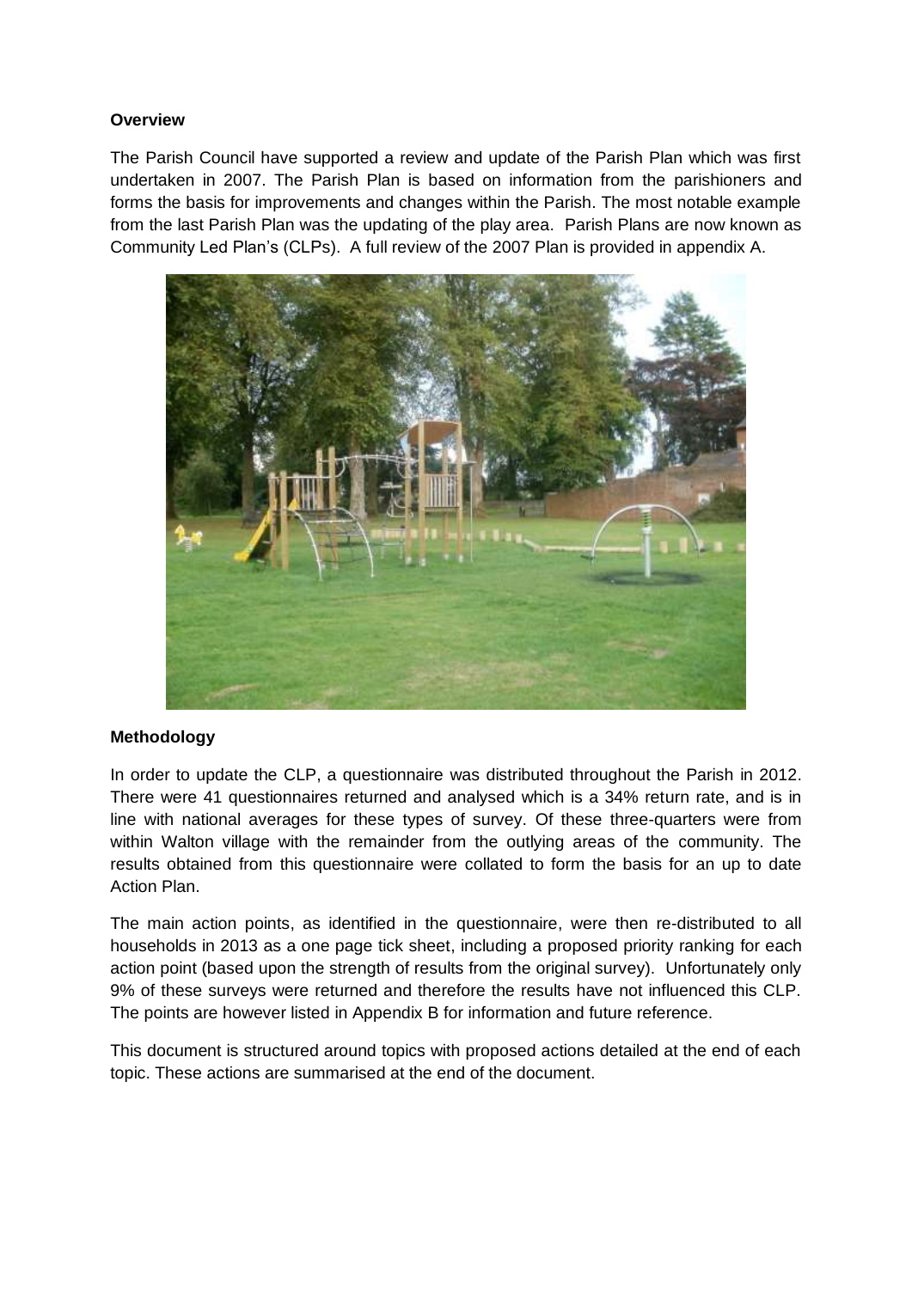#### **Overview**

The Parish Council have supported a review and update of the Parish Plan which was first undertaken in 2007. The Parish Plan is based on information from the parishioners and forms the basis for improvements and changes within the Parish. The most notable example from the last Parish Plan was the updating of the play area. Parish Plans are now known as Community Led Plan's (CLPs). A full review of the 2007 Plan is provided in appendix A.



#### **Methodology**

In order to update the CLP, a questionnaire was distributed throughout the Parish in 2012. There were 41 questionnaires returned and analysed which is a 34% return rate, and is in line with national averages for these types of survey. Of these three-quarters were from within Walton village with the remainder from the outlying areas of the community. The results obtained from this questionnaire were collated to form the basis for an up to date Action Plan.

The main action points, as identified in the questionnaire, were then re-distributed to all households in 2013 as a one page tick sheet, including a proposed priority ranking for each action point (based upon the strength of results from the original survey). Unfortunately only 9% of these surveys were returned and therefore the results have not influenced this CLP. The points are however listed in Appendix B for information and future reference.

This document is structured around topics with proposed actions detailed at the end of each topic. These actions are summarised at the end of the document.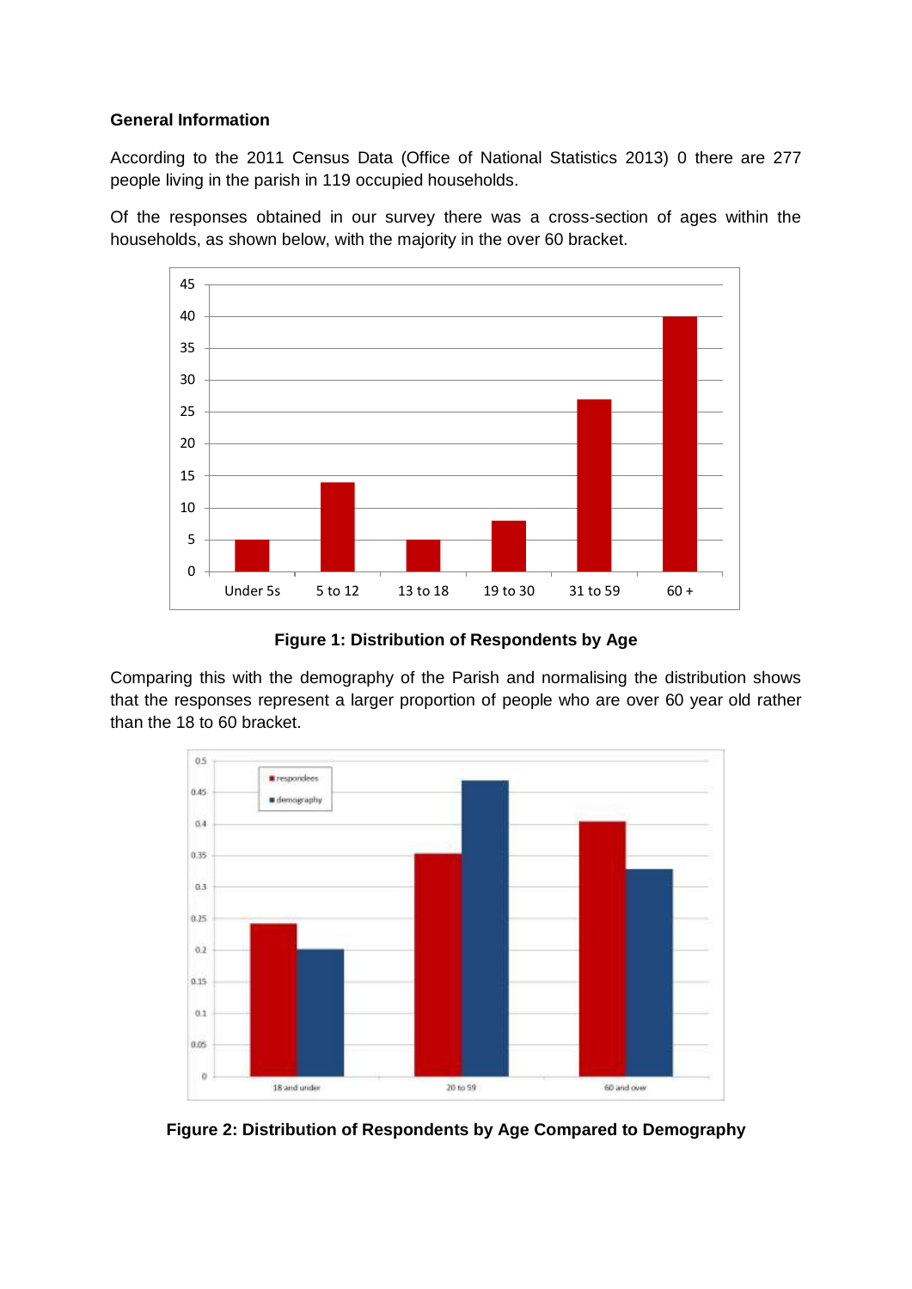## **General Information**

According to the 2011 Census Data (Office of National Statistics 2013) [0](#page-19-0) there are 277 people living in the parish in 119 occupied households.

Of the responses obtained in our survey there was a cross-section of ages within the households, as shown below, with the majority in the over 60 bracket.



**Figure 1: Distribution of Respondents by Age**

Comparing this with the demography of the Parish and normalising the distribution shows that the responses represent a larger proportion of people who are over 60 year old rather than the 18 to 60 bracket.



**Figure 2: Distribution of Respondents by Age Compared to Demography**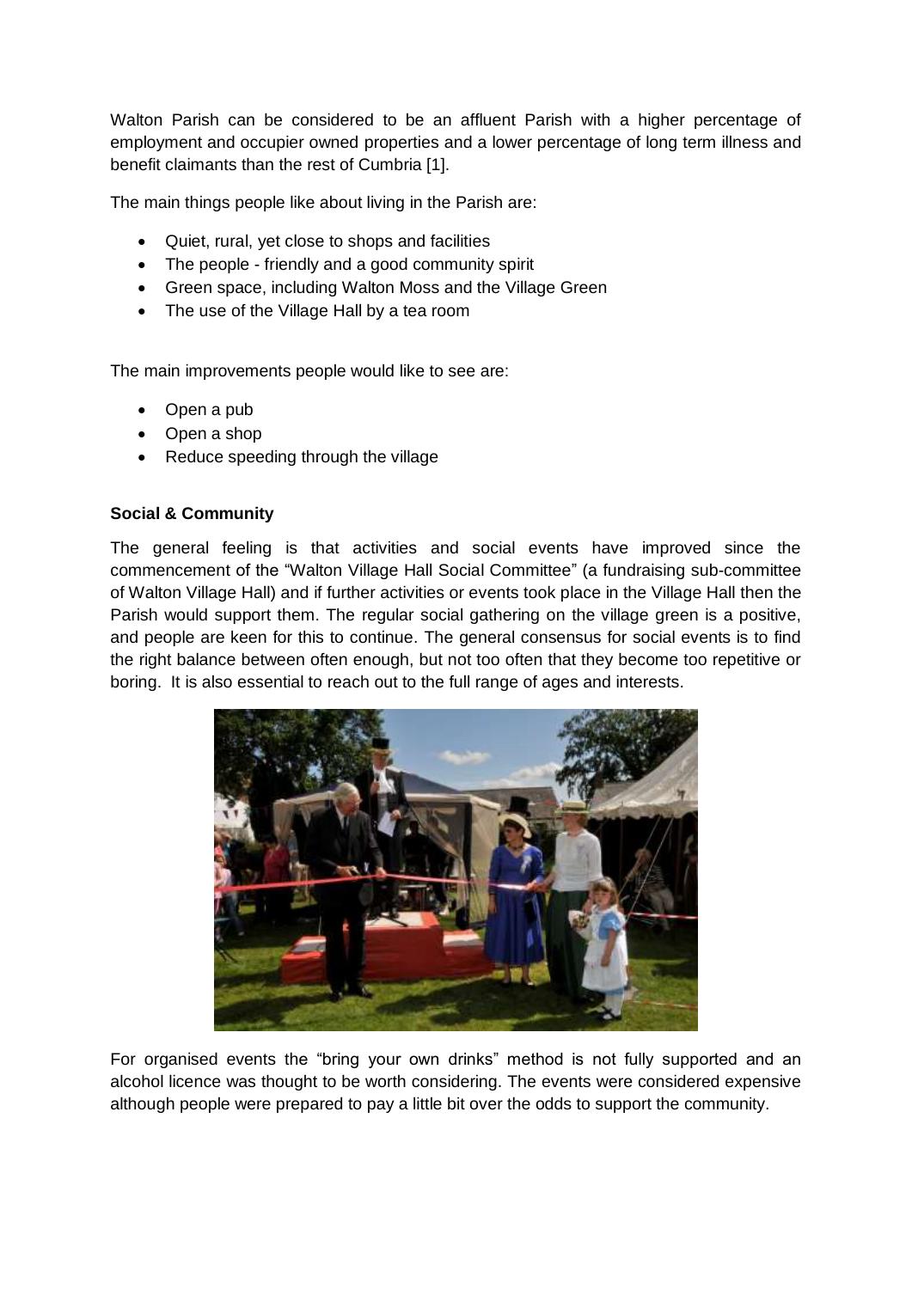Walton Parish can be considered to be an affluent Parish with a higher percentage of employment and occupier owned properties and a lower percentage of long term illness and benefit claimants than the rest of Cumbria [1].

The main things people like about living in the Parish are:

- Quiet, rural, yet close to shops and facilities
- The people friendly and a good community spirit
- Green space, including Walton Moss and the Village Green
- The use of the Village Hall by a tea room

The main improvements people would like to see are:

- Open a pub
- Open a shop
- Reduce speeding through the village

#### **Social & Community**

The general feeling is that activities and social events have improved since the commencement of the "Walton Village Hall Social Committee" (a fundraising sub-committee of Walton Village Hall) and if further activities or events took place in the Village Hall then the Parish would support them. The regular social gathering on the village green is a positive, and people are keen for this to continue. The general consensus for social events is to find the right balance between often enough, but not too often that they become too repetitive or boring. It is also essential to reach out to the full range of ages and interests.



For organised events the "bring your own drinks" method is not fully supported and an alcohol licence was thought to be worth considering. The events were considered expensive although people were prepared to pay a little bit over the odds to support the community.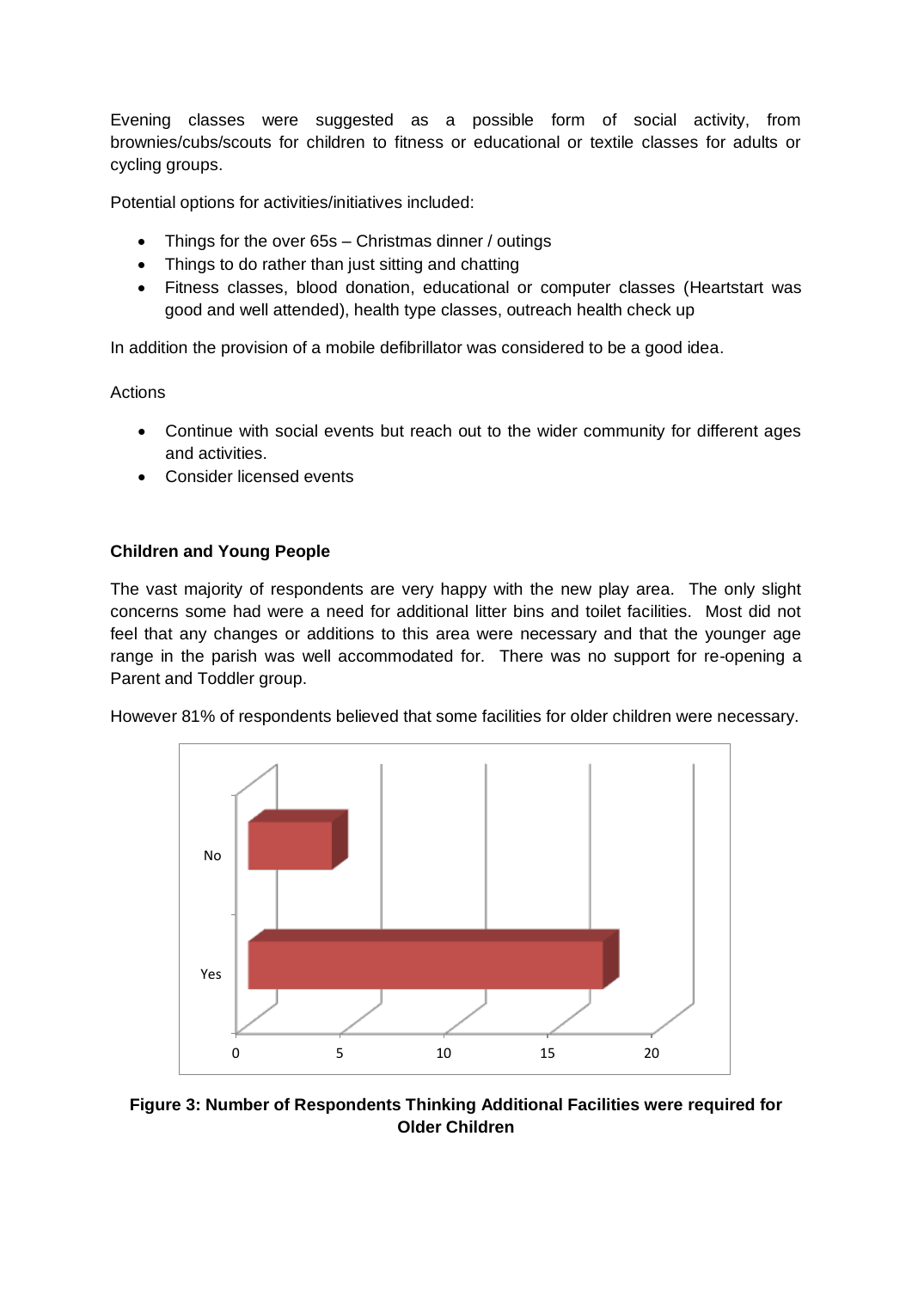Evening classes were suggested as a possible form of social activity, from brownies/cubs/scouts for children to fitness or educational or textile classes for adults or cycling groups.

Potential options for activities/initiatives included:

- Things for the over 65s Christmas dinner / outings
- Things to do rather than just sitting and chatting
- Fitness classes, blood donation, educational or computer classes (Heartstart was good and well attended), health type classes, outreach health check up

In addition the provision of a mobile defibrillator was considered to be a good idea.

Actions

- Continue with social events but reach out to the wider community for different ages and activities.
- Consider licensed events

## **Children and Young People**

The vast majority of respondents are very happy with the new play area. The only slight concerns some had were a need for additional litter bins and toilet facilities. Most did not feel that any changes or additions to this area were necessary and that the younger age range in the parish was well accommodated for. There was no support for re-opening a Parent and Toddler group.

However 81% of respondents believed that some facilities for older children were necessary.



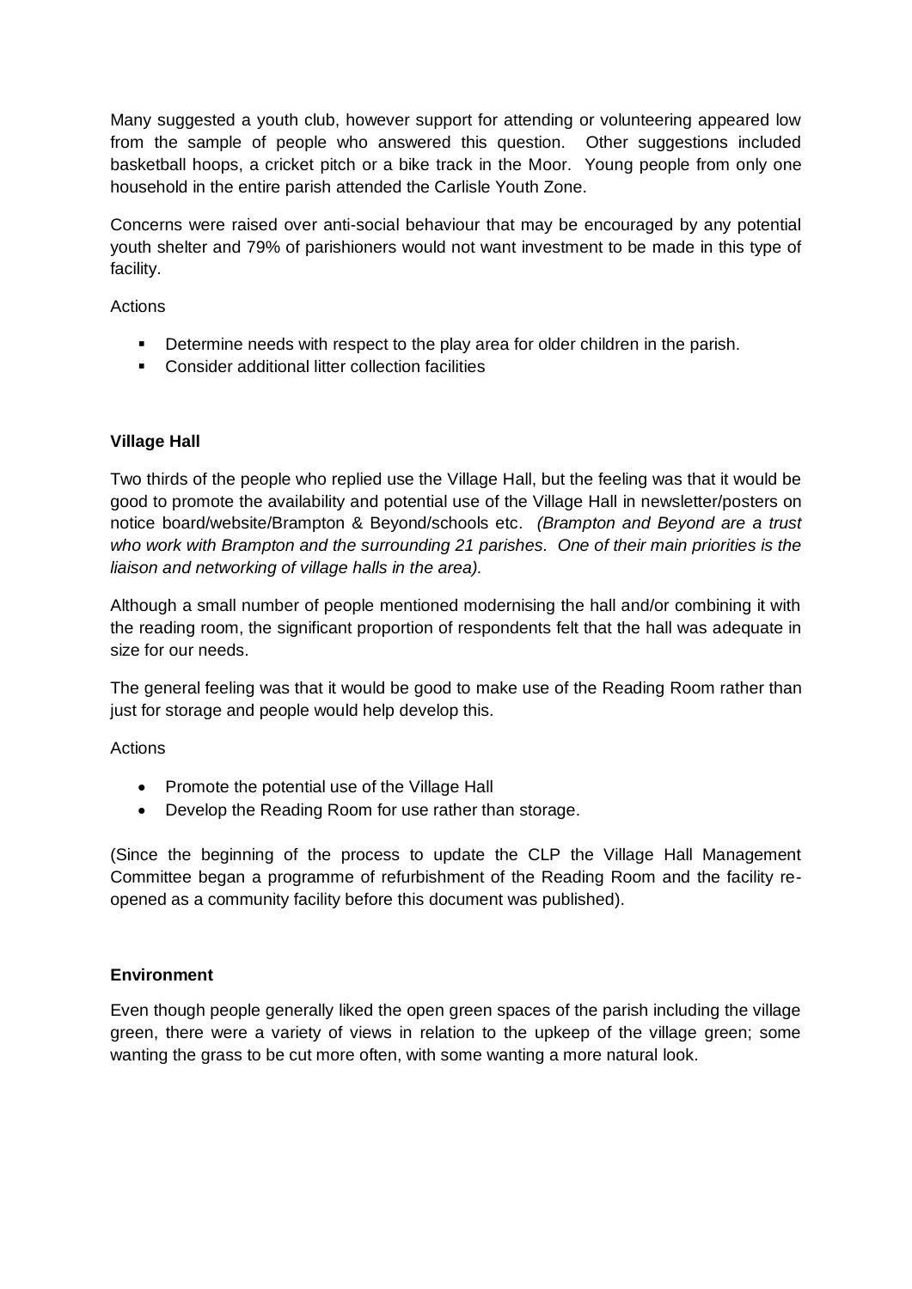Many suggested a youth club, however support for attending or volunteering appeared low from the sample of people who answered this question. Other suggestions included basketball hoops, a cricket pitch or a bike track in the Moor. Young people from only one household in the entire parish attended the Carlisle Youth Zone.

Concerns were raised over anti-social behaviour that may be encouraged by any potential youth shelter and 79% of parishioners would not want investment to be made in this type of facility.

Actions

- Determine needs with respect to the play area for older children in the parish.
- Consider additional litter collection facilities

## **Village Hall**

Two thirds of the people who replied use the Village Hall, but the feeling was that it would be good to promote the availability and potential use of the Village Hall in newsletter/posters on notice board/website/Brampton & Beyond/schools etc. *(Brampton and Beyond are a trust who work with Brampton and the surrounding 21 parishes. One of their main priorities is the liaison and networking of village halls in the area).*

Although a small number of people mentioned modernising the hall and/or combining it with the reading room, the significant proportion of respondents felt that the hall was adequate in size for our needs.

The general feeling was that it would be good to make use of the Reading Room rather than just for storage and people would help develop this.

Actions

- Promote the potential use of the Village Hall
- Develop the Reading Room for use rather than storage.

(Since the beginning of the process to update the CLP the Village Hall Management Committee began a programme of refurbishment of the Reading Room and the facility reopened as a community facility before this document was published).

## **Environment**

Even though people generally liked the open green spaces of the parish including the village green, there were a variety of views in relation to the upkeep of the village green; some wanting the grass to be cut more often, with some wanting a more natural look.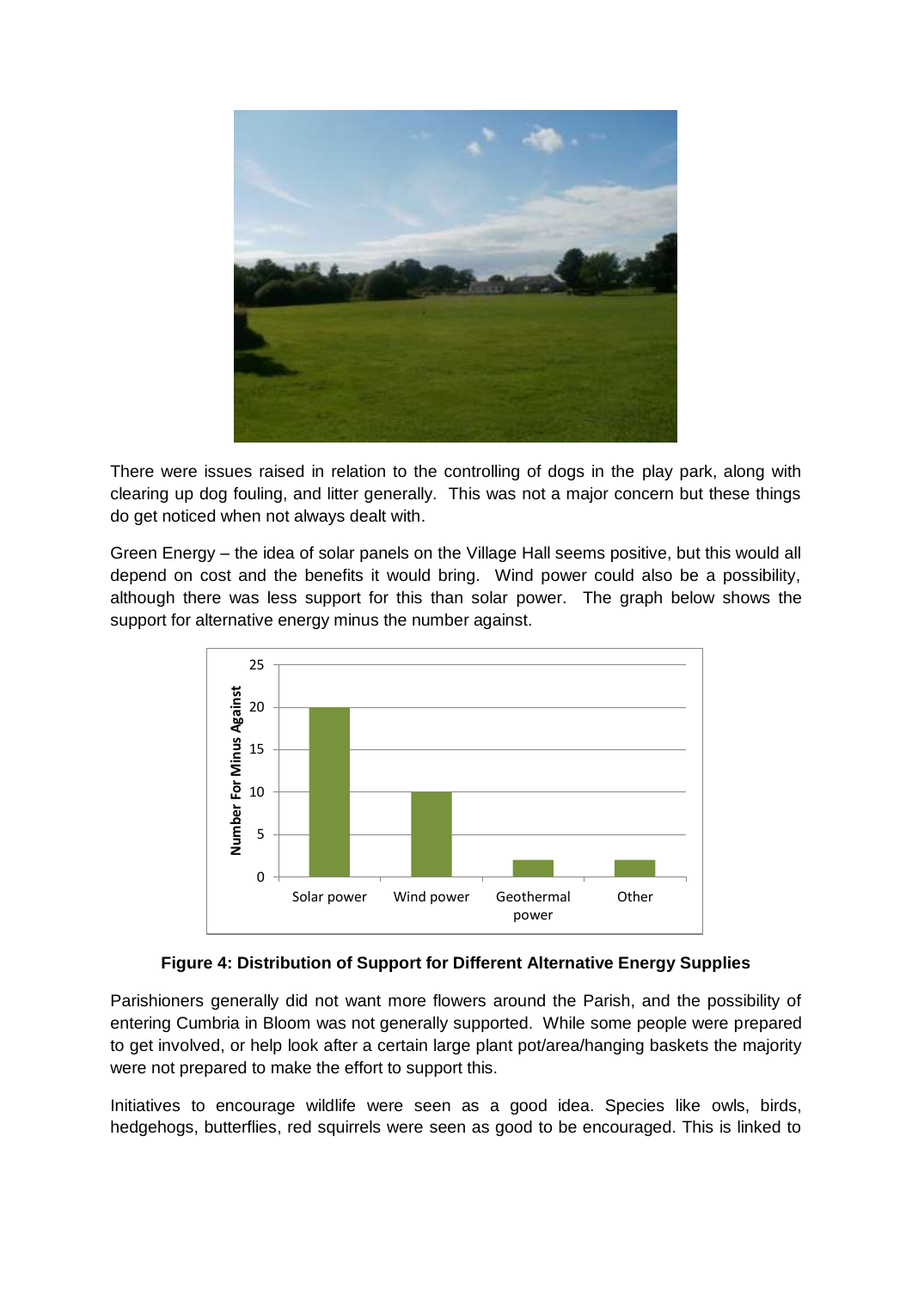

There were issues raised in relation to the controlling of dogs in the play park, along with clearing up dog fouling, and litter generally. This was not a major concern but these things do get noticed when not always dealt with.

Green Energy – the idea of solar panels on the Village Hall seems positive, but this would all depend on cost and the benefits it would bring. Wind power could also be a possibility, although there was less support for this than solar power. The graph below shows the support for alternative energy minus the number against.



#### **Figure 4: Distribution of Support for Different Alternative Energy Supplies**

Parishioners generally did not want more flowers around the Parish, and the possibility of entering Cumbria in Bloom was not generally supported. While some people were prepared to get involved, or help look after a certain large plant pot/area/hanging baskets the majority were not prepared to make the effort to support this.

Initiatives to encourage wildlife were seen as a good idea. Species like owls, birds, hedgehogs, butterflies, red squirrels were seen as good to be encouraged. This is linked to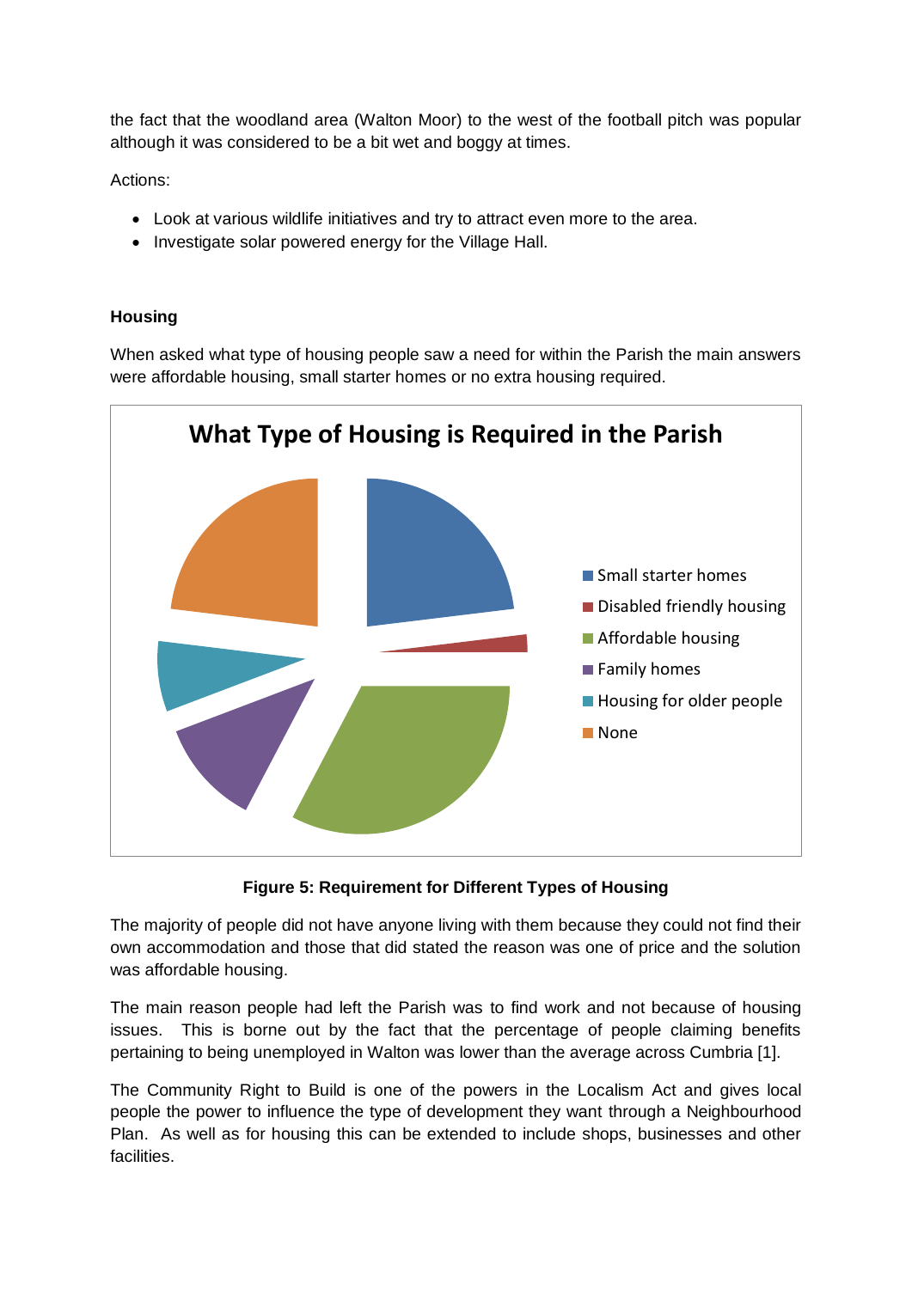the fact that the woodland area (Walton Moor) to the west of the football pitch was popular although it was considered to be a bit wet and boggy at times.

Actions:

- Look at various wildlife initiatives and try to attract even more to the area.
- Investigate solar powered energy for the Village Hall.

#### **Housing**

When asked what type of housing people saw a need for within the Parish the main answers were affordable housing, small starter homes or no extra housing required.



**Figure 5: Requirement for Different Types of Housing**

The majority of people did not have anyone living with them because they could not find their own accommodation and those that did stated the reason was one of price and the solution was affordable housing.

The main reason people had left the Parish was to find work and not because of housing issues. This is borne out by the fact that the percentage of people claiming benefits pertaining to being unemployed in Walton was lower than the average across Cumbria [1].

The Community Right to Build is one of the powers in the Localism Act and gives local people the power to influence the type of development they want through a Neighbourhood Plan. As well as for housing this can be extended to include shops, businesses and other facilities.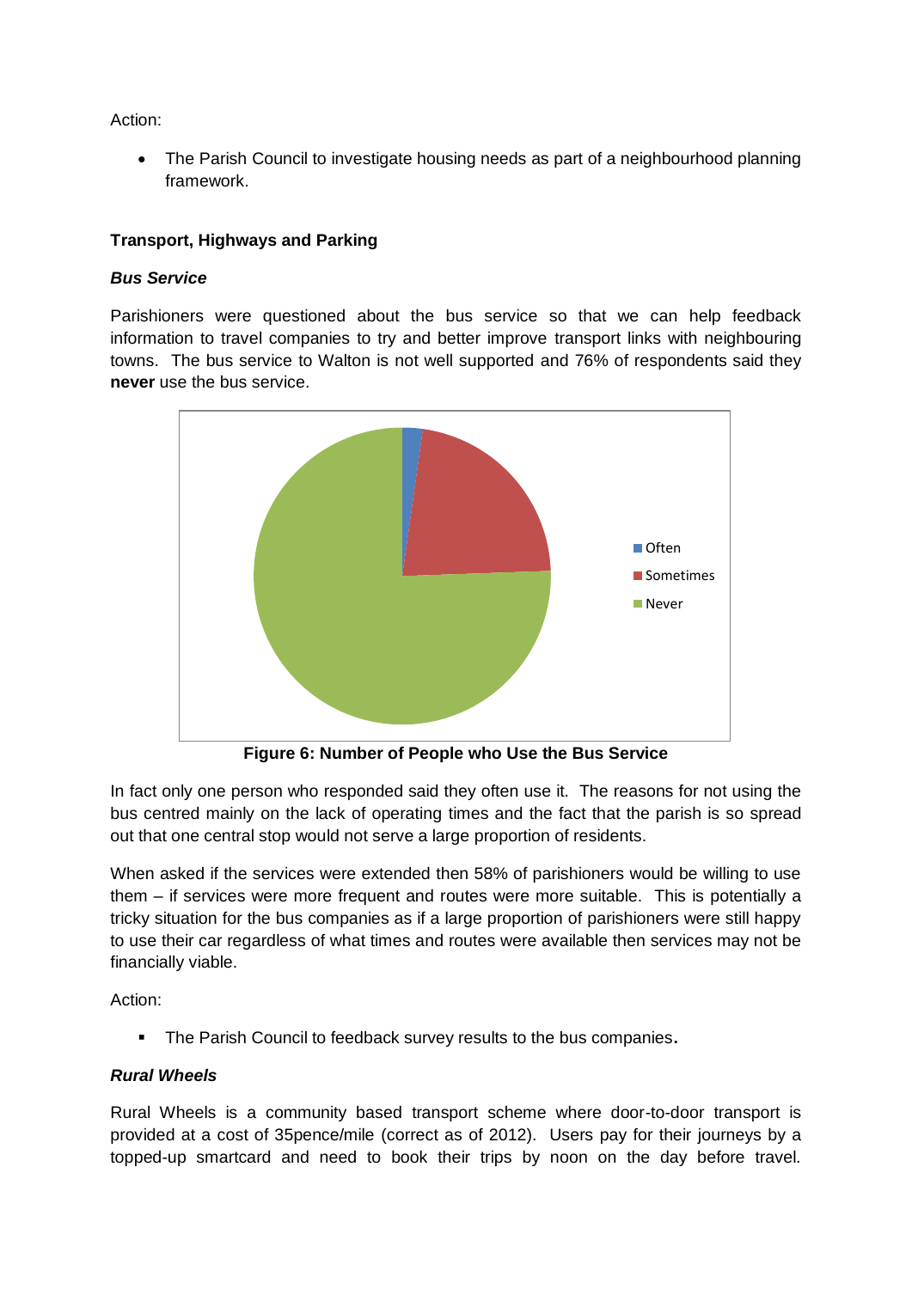Action:

• The Parish Council to investigate housing needs as part of a neighbourhood planning framework.

## **Transport, Highways and Parking**

#### *Bus Service*

Parishioners were questioned about the bus service so that we can help feedback information to travel companies to try and better improve transport links with neighbouring towns. The bus service to Walton is not well supported and 76% of respondents said they **never** use the bus service.



**Figure 6: Number of People who Use the Bus Service**

In fact only one person who responded said they often use it. The reasons for not using the bus centred mainly on the lack of operating times and the fact that the parish is so spread out that one central stop would not serve a large proportion of residents.

When asked if the services were extended then 58% of parishioners would be willing to use them – if services were more frequent and routes were more suitable. This is potentially a tricky situation for the bus companies as if a large proportion of parishioners were still happy to use their car regardless of what times and routes were available then services may not be financially viable.

Action:

The Parish Council to feedback survey results to the bus companies**.**

#### *Rural Wheels*

Rural Wheels is a community based transport scheme where door-to-door transport is provided at a cost of 35pence/mile (correct as of 2012). Users pay for their journeys by a topped-up smartcard and need to book their trips by noon on the day before travel.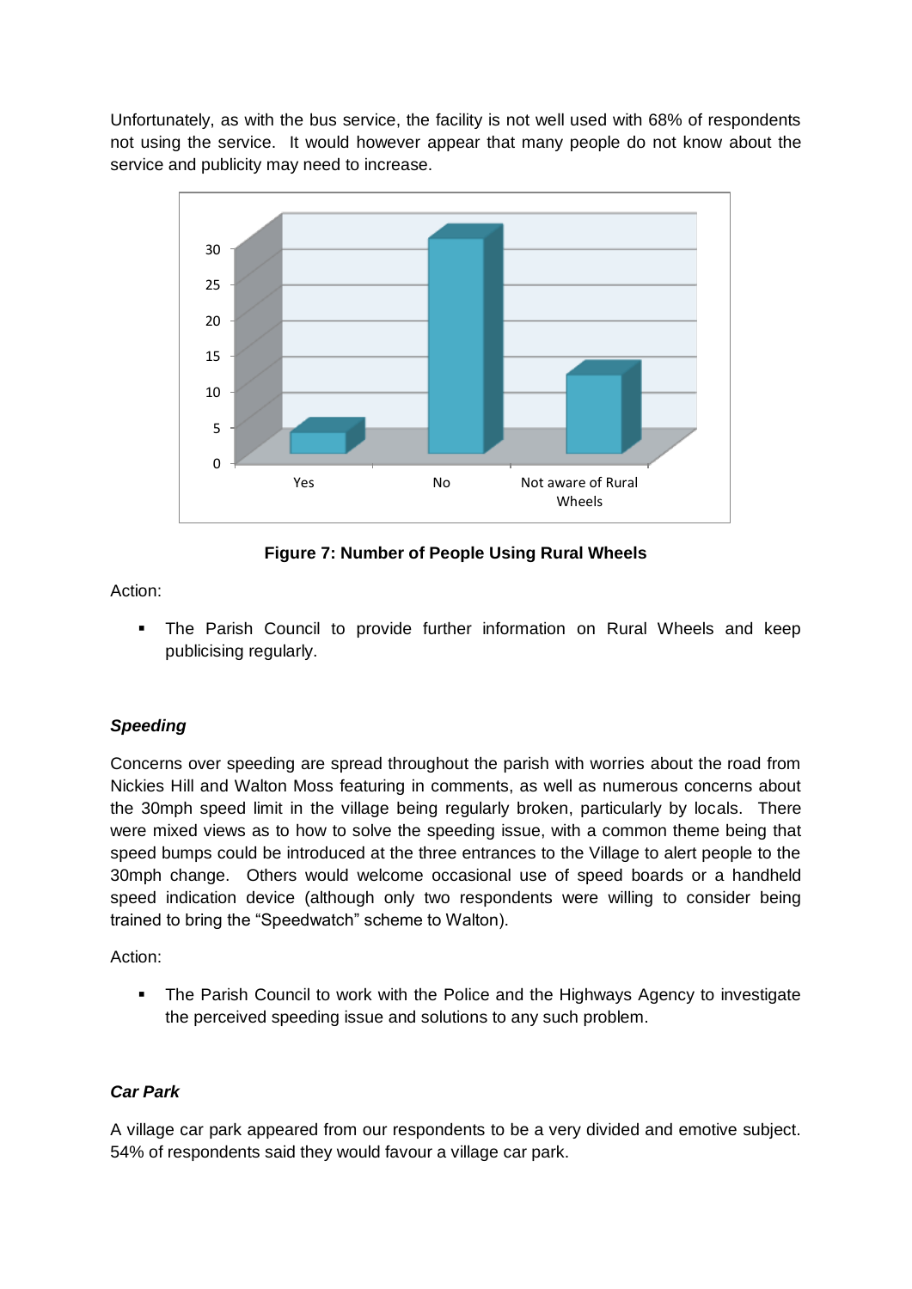Unfortunately, as with the bus service, the facility is not well used with 68% of respondents not using the service. It would however appear that many people do not know about the service and publicity may need to increase.



**Figure 7: Number of People Using Rural Wheels**

Action:

 The Parish Council to provide further information on Rural Wheels and keep publicising regularly.

## *Speeding*

Concerns over speeding are spread throughout the parish with worries about the road from Nickies Hill and Walton Moss featuring in comments, as well as numerous concerns about the 30mph speed limit in the village being regularly broken, particularly by locals. There were mixed views as to how to solve the speeding issue, with a common theme being that speed bumps could be introduced at the three entrances to the Village to alert people to the 30mph change. Others would welcome occasional use of speed boards or a handheld speed indication device (although only two respondents were willing to consider being trained to bring the "Speedwatch" scheme to Walton).

Action:

• The Parish Council to work with the Police and the Highways Agency to investigate the perceived speeding issue and solutions to any such problem.

## *Car Park*

A village car park appeared from our respondents to be a very divided and emotive subject. 54% of respondents said they would favour a village car park.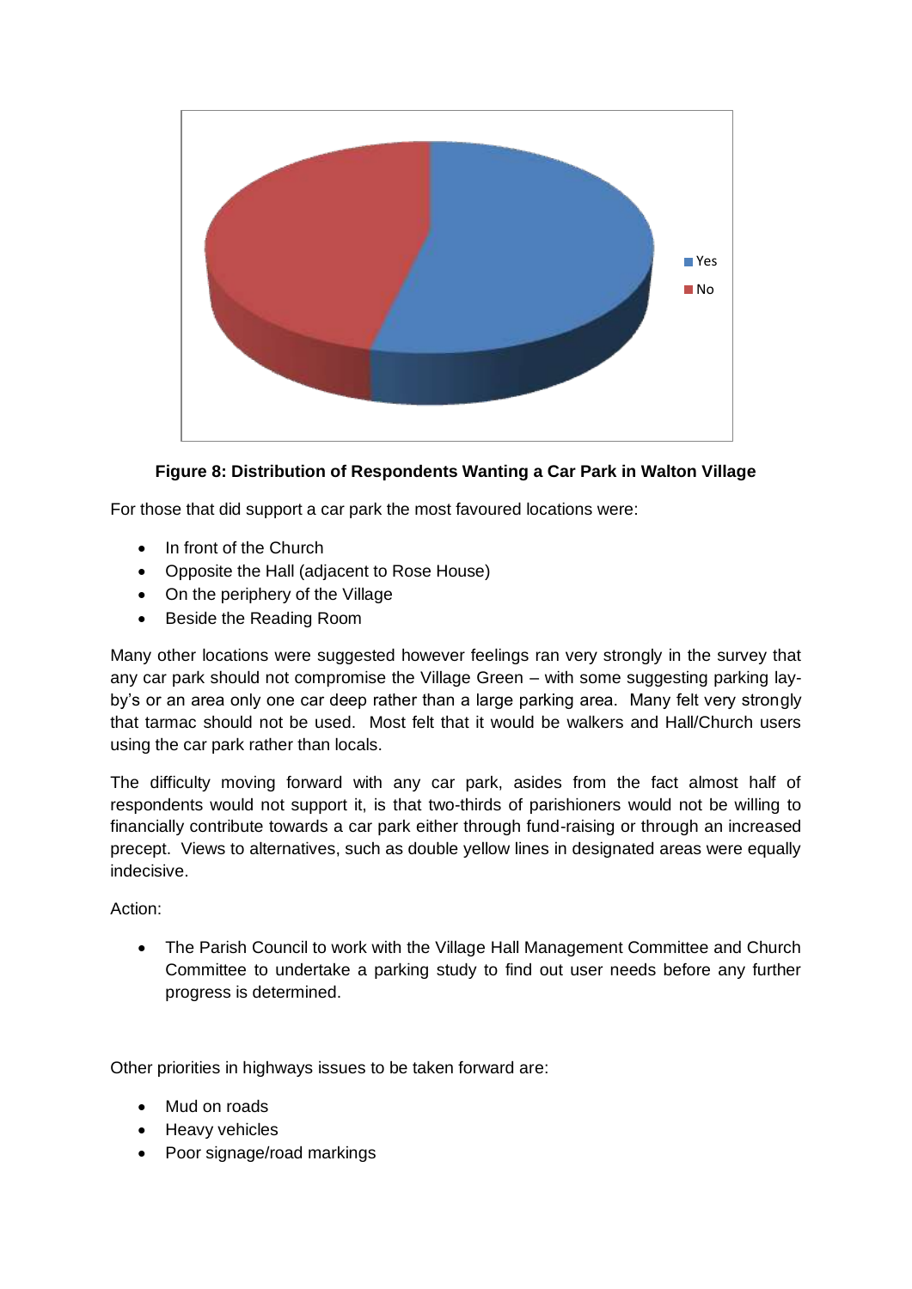

**Figure 8: Distribution of Respondents Wanting a Car Park in Walton Village**

For those that did support a car park the most favoured locations were:

- In front of the Church
- Opposite the Hall (adjacent to Rose House)
- On the periphery of the Village
- Beside the Reading Room

Many other locations were suggested however feelings ran very strongly in the survey that any car park should not compromise the Village Green – with some suggesting parking layby's or an area only one car deep rather than a large parking area. Many felt very strongly that tarmac should not be used. Most felt that it would be walkers and Hall/Church users using the car park rather than locals.

The difficulty moving forward with any car park, asides from the fact almost half of respondents would not support it, is that two-thirds of parishioners would not be willing to financially contribute towards a car park either through fund-raising or through an increased precept. Views to alternatives, such as double yellow lines in designated areas were equally indecisive.

Action:

 The Parish Council to work with the Village Hall Management Committee and Church Committee to undertake a parking study to find out user needs before any further progress is determined.

Other priorities in highways issues to be taken forward are:

- Mud on roads
- Heavy vehicles
- Poor signage/road markings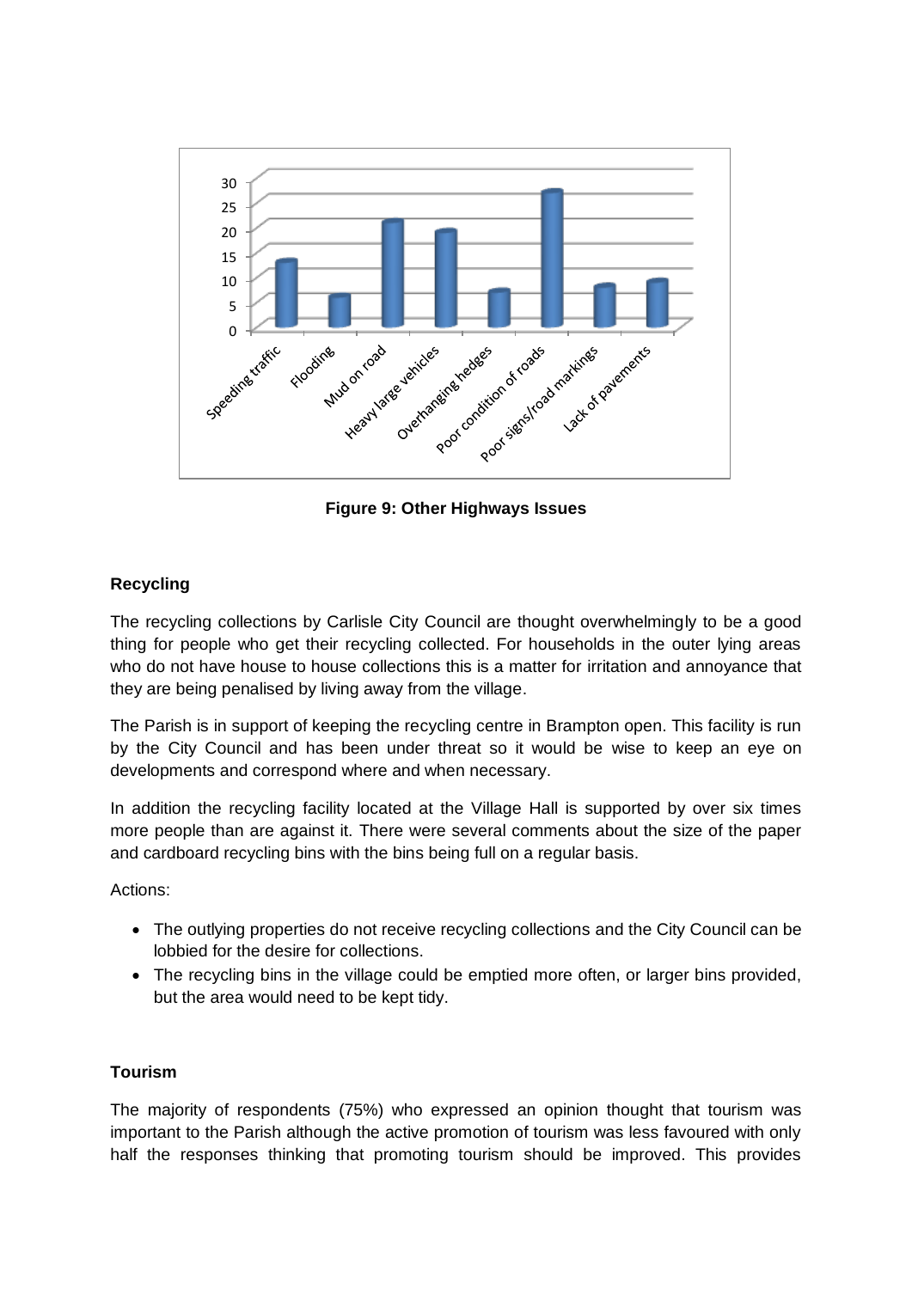

**Figure 9: Other Highways Issues**

## **Recycling**

The recycling collections by Carlisle City Council are thought overwhelmingly to be a good thing for people who get their recycling collected. For households in the outer lying areas who do not have house to house collections this is a matter for irritation and annoyance that they are being penalised by living away from the village.

The Parish is in support of keeping the recycling centre in Brampton open. This facility is run by the City Council and has been under threat so it would be wise to keep an eye on developments and correspond where and when necessary.

In addition the recycling facility located at the Village Hall is supported by over six times more people than are against it. There were several comments about the size of the paper and cardboard recycling bins with the bins being full on a regular basis.

Actions:

- The outlying properties do not receive recycling collections and the City Council can be lobbied for the desire for collections.
- The recycling bins in the village could be emptied more often, or larger bins provided, but the area would need to be kept tidy.

#### **Tourism**

The majority of respondents (75%) who expressed an opinion thought that tourism was important to the Parish although the active promotion of tourism was less favoured with only half the responses thinking that promoting tourism should be improved. This provides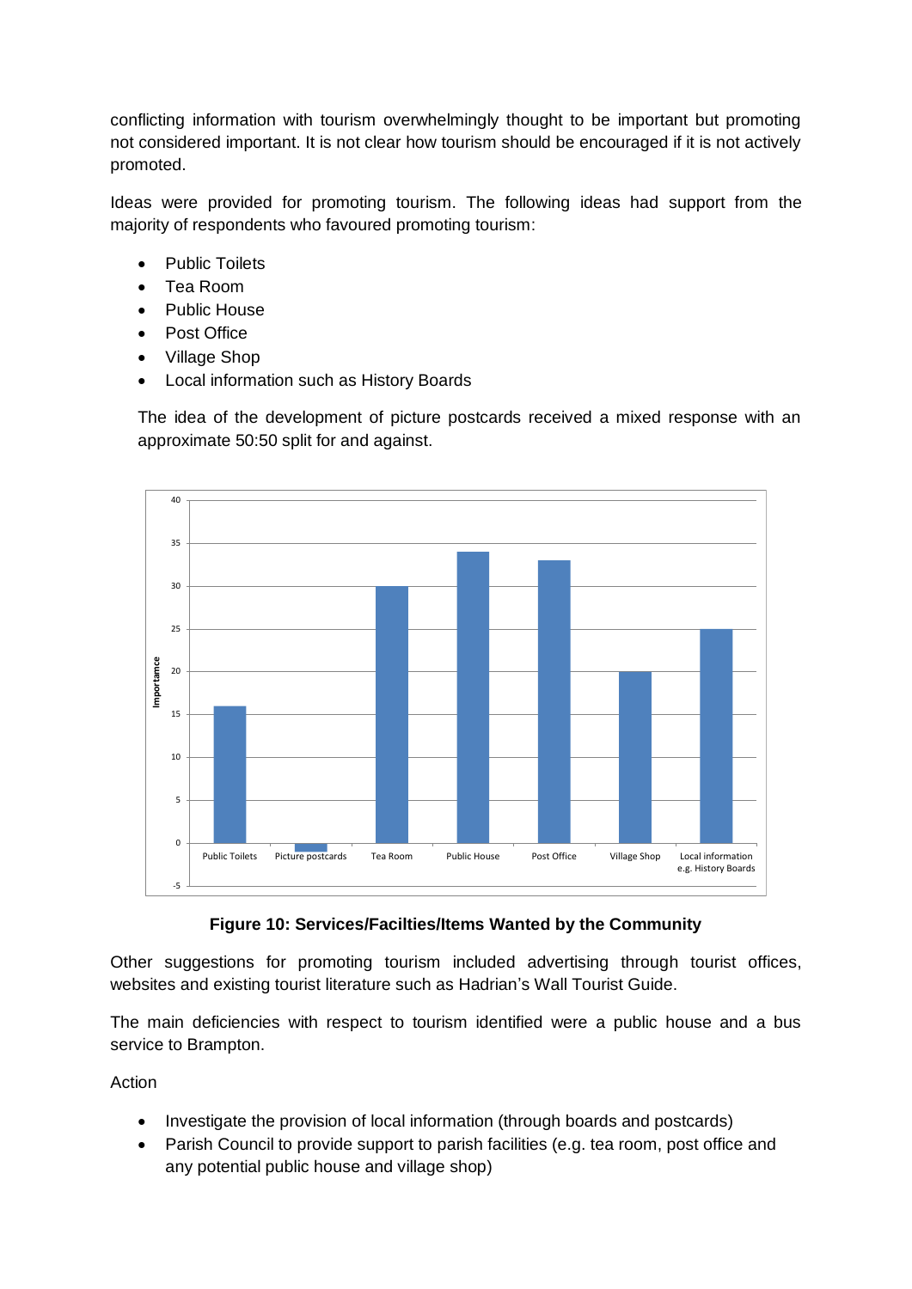conflicting information with tourism overwhelmingly thought to be important but promoting not considered important. It is not clear how tourism should be encouraged if it is not actively promoted.

Ideas were provided for promoting tourism. The following ideas had support from the majority of respondents who favoured promoting tourism:

- Public Toilets
- Tea Room
- Public House
- Post Office
- Village Shop
- Local information such as History Boards

The idea of the development of picture postcards received a mixed response with an approximate 50:50 split for and against.



**Figure 10: Services/Facilties/Items Wanted by the Community**

Other suggestions for promoting tourism included advertising through tourist offices, websites and existing tourist literature such as Hadrian's Wall Tourist Guide.

The main deficiencies with respect to tourism identified were a public house and a bus service to Brampton.

Action

- Investigate the provision of local information (through boards and postcards)
- Parish Council to provide support to parish facilities (e.g. tea room, post office and any potential public house and village shop)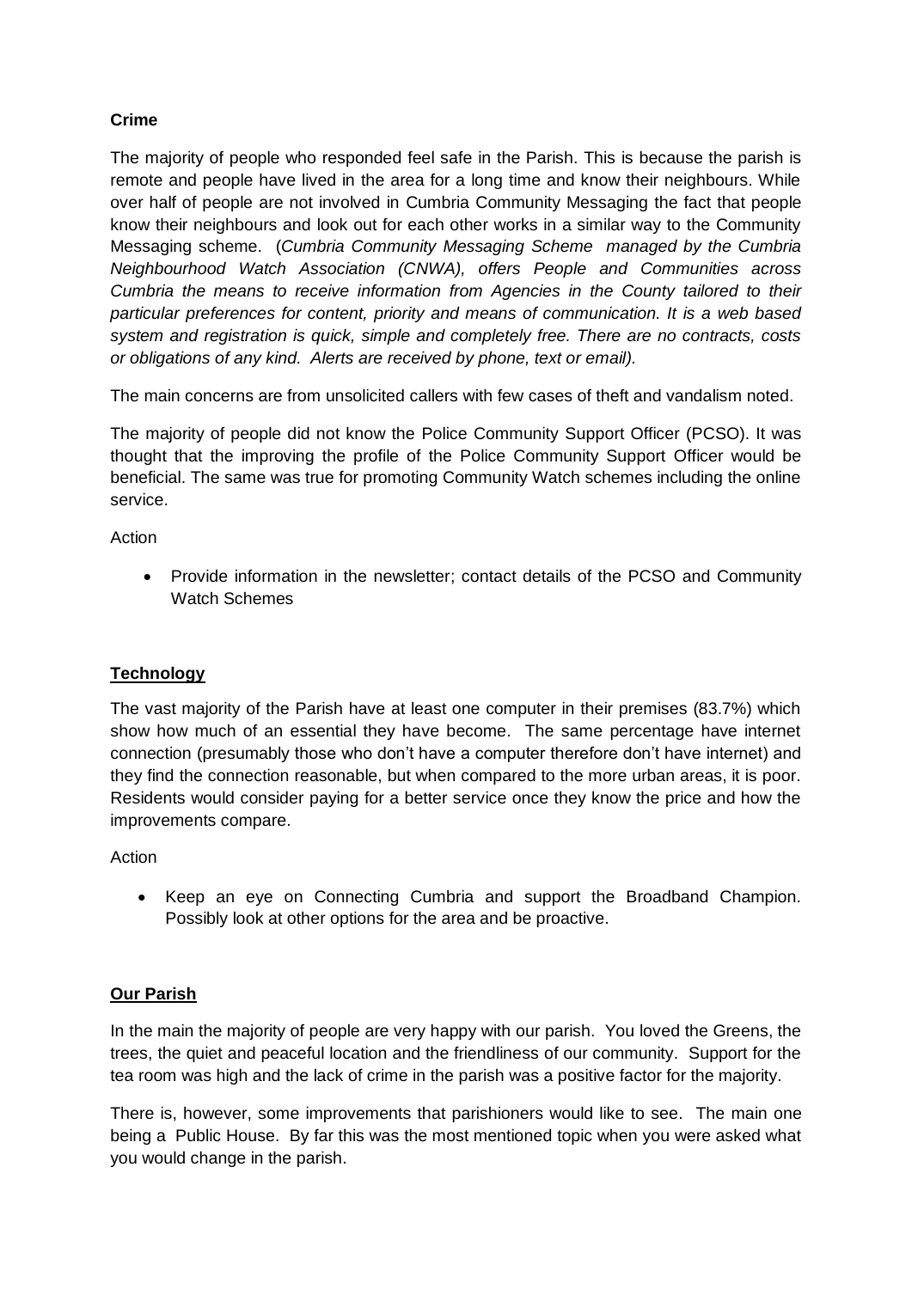# **Crime**

The majority of people who responded feel safe in the Parish. This is because the parish is remote and people have lived in the area for a long time and know their neighbours. While over half of people are not involved in Cumbria Community Messaging the fact that people know their neighbours and look out for each other works in a similar way to the Community Messaging scheme. (*Cumbria Community Messaging Scheme managed by the Cumbria Neighbourhood Watch Association (CNWA), offers People and Communities across Cumbria the means to receive information from Agencies in the County tailored to their particular preferences for content, priority and means of communication. It is a web based system and registration is quick, simple and completely free. There are no contracts, costs or obligations of any kind. Alerts are received by phone, text or email).*

The main concerns are from unsolicited callers with few cases of theft and vandalism noted.

The majority of people did not know the Police Community Support Officer (PCSO). It was thought that the improving the profile of the Police Community Support Officer would be beneficial. The same was true for promoting Community Watch schemes including the online service.

Action

 Provide information in the newsletter; contact details of the PCSO and Community Watch Schemes

## **Technology**

The vast majority of the Parish have at least one computer in their premises (83.7%) which show how much of an essential they have become. The same percentage have internet connection (presumably those who don't have a computer therefore don't have internet) and they find the connection reasonable, but when compared to the more urban areas, it is poor. Residents would consider paying for a better service once they know the price and how the improvements compare.

Action

 Keep an eye on Connecting Cumbria and support the Broadband Champion. Possibly look at other options for the area and be proactive.

## **Our Parish**

In the main the majority of people are very happy with our parish. You loved the Greens, the trees, the quiet and peaceful location and the friendliness of our community. Support for the tea room was high and the lack of crime in the parish was a positive factor for the majority.

There is, however, some improvements that parishioners would like to see. The main one being a Public House. By far this was the most mentioned topic when you were asked what you would change in the parish.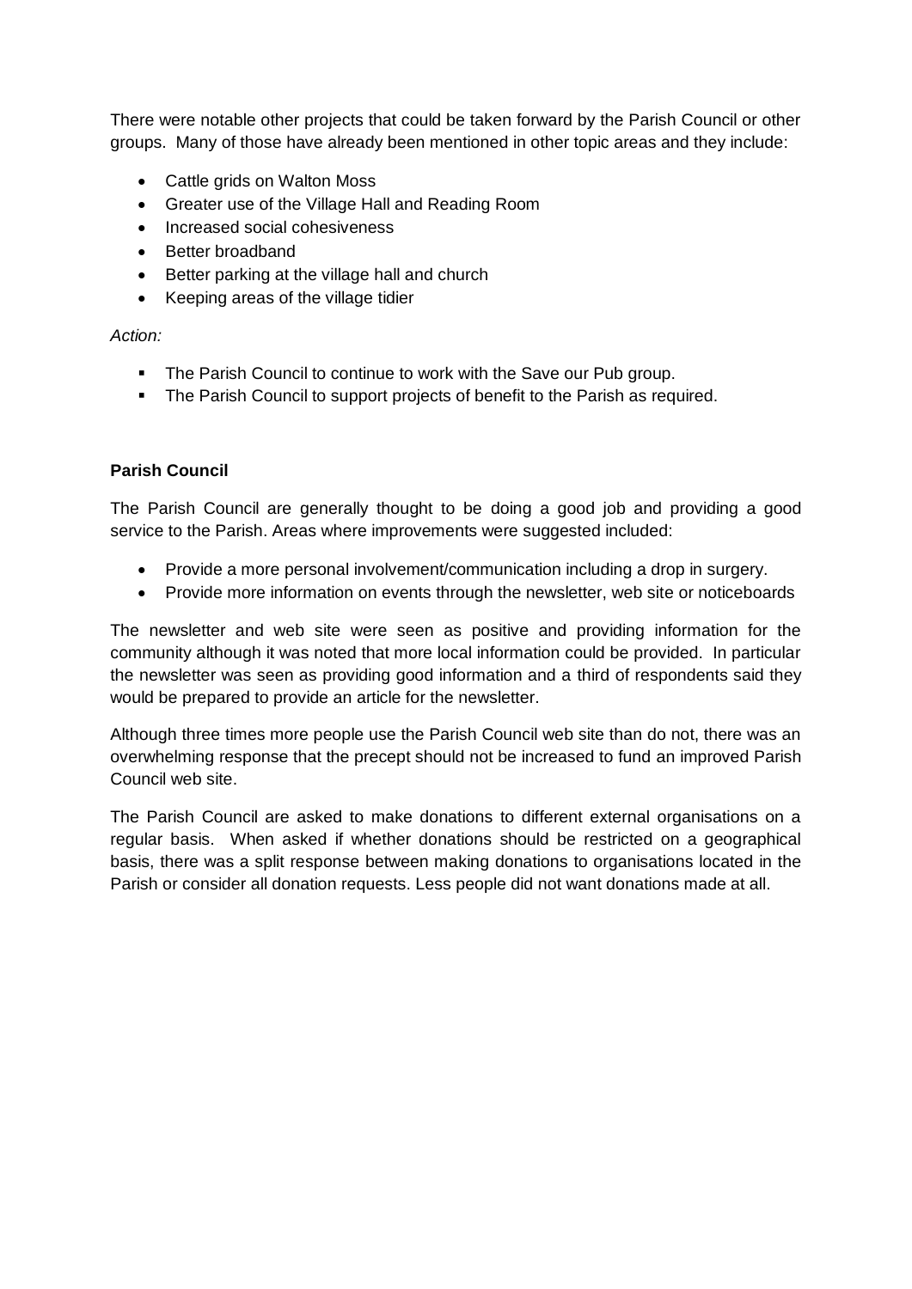There were notable other projects that could be taken forward by the Parish Council or other groups. Many of those have already been mentioned in other topic areas and they include:

- Cattle grids on Walton Moss
- Greater use of the Village Hall and Reading Room
- Increased social cohesiveness
- Better broadband
- Better parking at the village hall and church
- Keeping areas of the village tidier

#### *Action:*

- The Parish Council to continue to work with the Save our Pub group.
- The Parish Council to support projects of benefit to the Parish as required.

#### **Parish Council**

The Parish Council are generally thought to be doing a good job and providing a good service to the Parish. Areas where improvements were suggested included:

- Provide a more personal involvement/communication including a drop in surgery.
- Provide more information on events through the newsletter, web site or noticeboards

The newsletter and web site were seen as positive and providing information for the community although it was noted that more local information could be provided. In particular the newsletter was seen as providing good information and a third of respondents said they would be prepared to provide an article for the newsletter.

Although three times more people use the Parish Council web site than do not, there was an overwhelming response that the precept should not be increased to fund an improved Parish Council web site.

The Parish Council are asked to make donations to different external organisations on a regular basis. When asked if whether donations should be restricted on a geographical basis, there was a split response between making donations to organisations located in the Parish or consider all donation requests. Less people did not want donations made at all.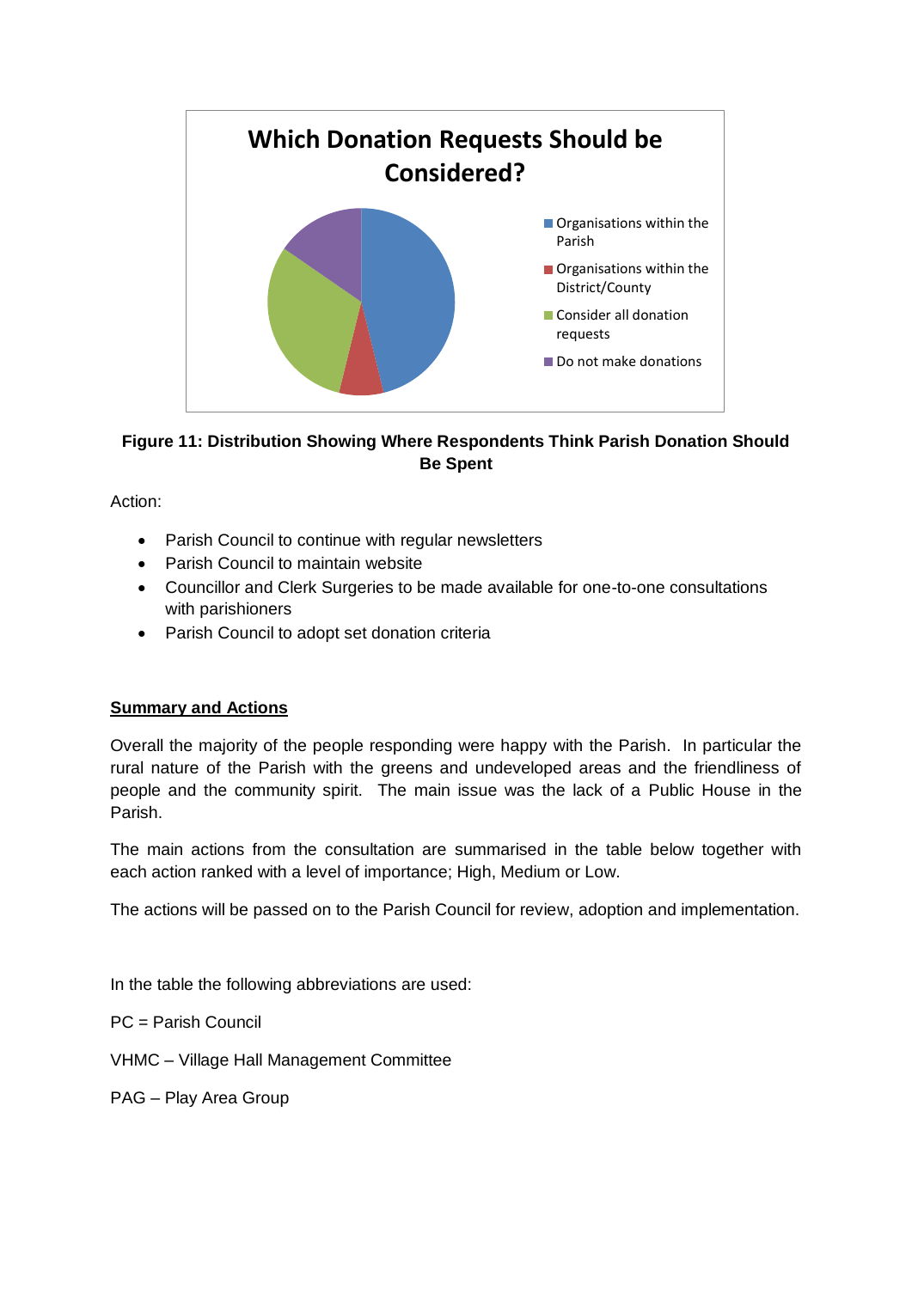

# **Figure 11: Distribution Showing Where Respondents Think Parish Donation Should Be Spent**

Action:

- Parish Council to continue with regular newsletters
- Parish Council to maintain website
- Councillor and Clerk Surgeries to be made available for one-to-one consultations with parishioners
- Parish Council to adopt set donation criteria

## **Summary and Actions**

Overall the majority of the people responding were happy with the Parish. In particular the rural nature of the Parish with the greens and undeveloped areas and the friendliness of people and the community spirit. The main issue was the lack of a Public House in the Parish.

The main actions from the consultation are summarised in the table below together with each action ranked with a level of importance; High, Medium or Low.

The actions will be passed on to the Parish Council for review, adoption and implementation.

In the table the following abbreviations are used:

PC = Parish Council

VHMC – Village Hall Management Committee

PAG – Play Area Group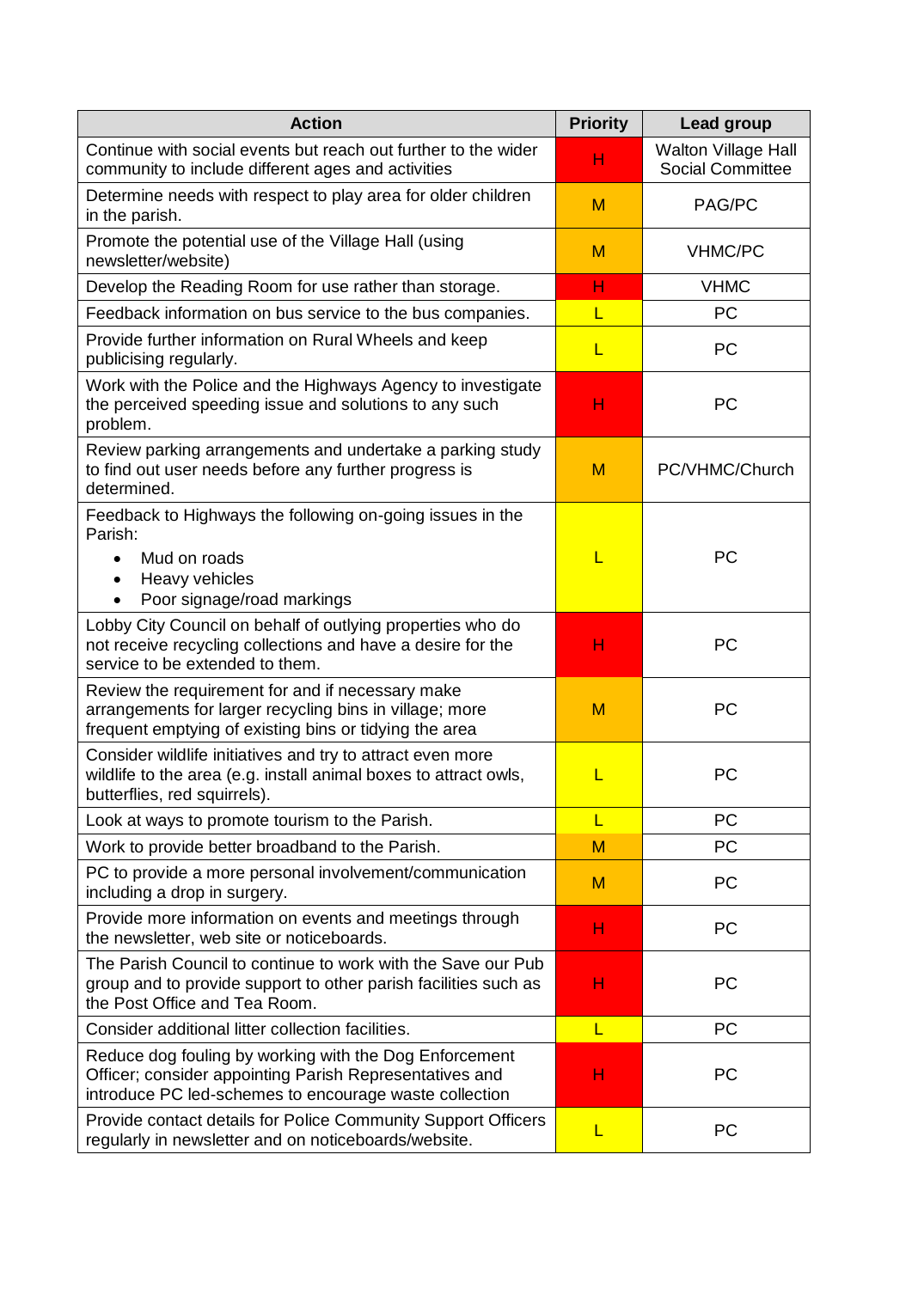| <b>Action</b>                                                                                                                                                               | <b>Priority</b> | Lead group                                            |
|-----------------------------------------------------------------------------------------------------------------------------------------------------------------------------|-----------------|-------------------------------------------------------|
| Continue with social events but reach out further to the wider<br>community to include different ages and activities                                                        | н               | <b>Walton Village Hall</b><br><b>Social Committee</b> |
| Determine needs with respect to play area for older children<br>in the parish.                                                                                              | M               | PAG/PC                                                |
| Promote the potential use of the Village Hall (using<br>newsletter/website)                                                                                                 | M               | <b>VHMC/PC</b>                                        |
| Develop the Reading Room for use rather than storage.                                                                                                                       | н               | <b>VHMC</b>                                           |
| Feedback information on bus service to the bus companies.                                                                                                                   | L               | <b>PC</b>                                             |
| Provide further information on Rural Wheels and keep<br>publicising regularly.                                                                                              | L               | <b>PC</b>                                             |
| Work with the Police and the Highways Agency to investigate<br>the perceived speeding issue and solutions to any such<br>problem.                                           | н               | <b>PC</b>                                             |
| Review parking arrangements and undertake a parking study<br>to find out user needs before any further progress is<br>determined.                                           | M               | PC/VHMC/Church                                        |
| Feedback to Highways the following on-going issues in the<br>Parish:<br>Mud on roads<br>Heavy vehicles<br>Poor signage/road markings                                        | L               | PC                                                    |
| Lobby City Council on behalf of outlying properties who do<br>not receive recycling collections and have a desire for the<br>service to be extended to them.                | н               | PC                                                    |
| Review the requirement for and if necessary make<br>arrangements for larger recycling bins in village; more<br>frequent emptying of existing bins or tidying the area       | M               | PC                                                    |
| Consider wildlife initiatives and try to attract even more<br>wildlife to the area (e.g. install animal boxes to attract owls,<br>butterflies, red squirrels).              |                 | <b>PC</b>                                             |
| Look at ways to promote tourism to the Parish.                                                                                                                              | L               | <b>PC</b>                                             |
| Work to provide better broadband to the Parish.                                                                                                                             | M               | PC                                                    |
| PC to provide a more personal involvement/communication<br>including a drop in surgery.                                                                                     | M               | <b>PC</b>                                             |
| Provide more information on events and meetings through<br>the newsletter, web site or noticeboards.                                                                        | н               | PC                                                    |
| The Parish Council to continue to work with the Save our Pub<br>group and to provide support to other parish facilities such as<br>the Post Office and Tea Room.            | н               | <b>PC</b>                                             |
| Consider additional litter collection facilities.                                                                                                                           | L               | PC                                                    |
| Reduce dog fouling by working with the Dog Enforcement<br>Officer; consider appointing Parish Representatives and<br>introduce PC led-schemes to encourage waste collection | н               | <b>PC</b>                                             |
| Provide contact details for Police Community Support Officers<br>regularly in newsletter and on noticeboards/website.                                                       | L               | PC                                                    |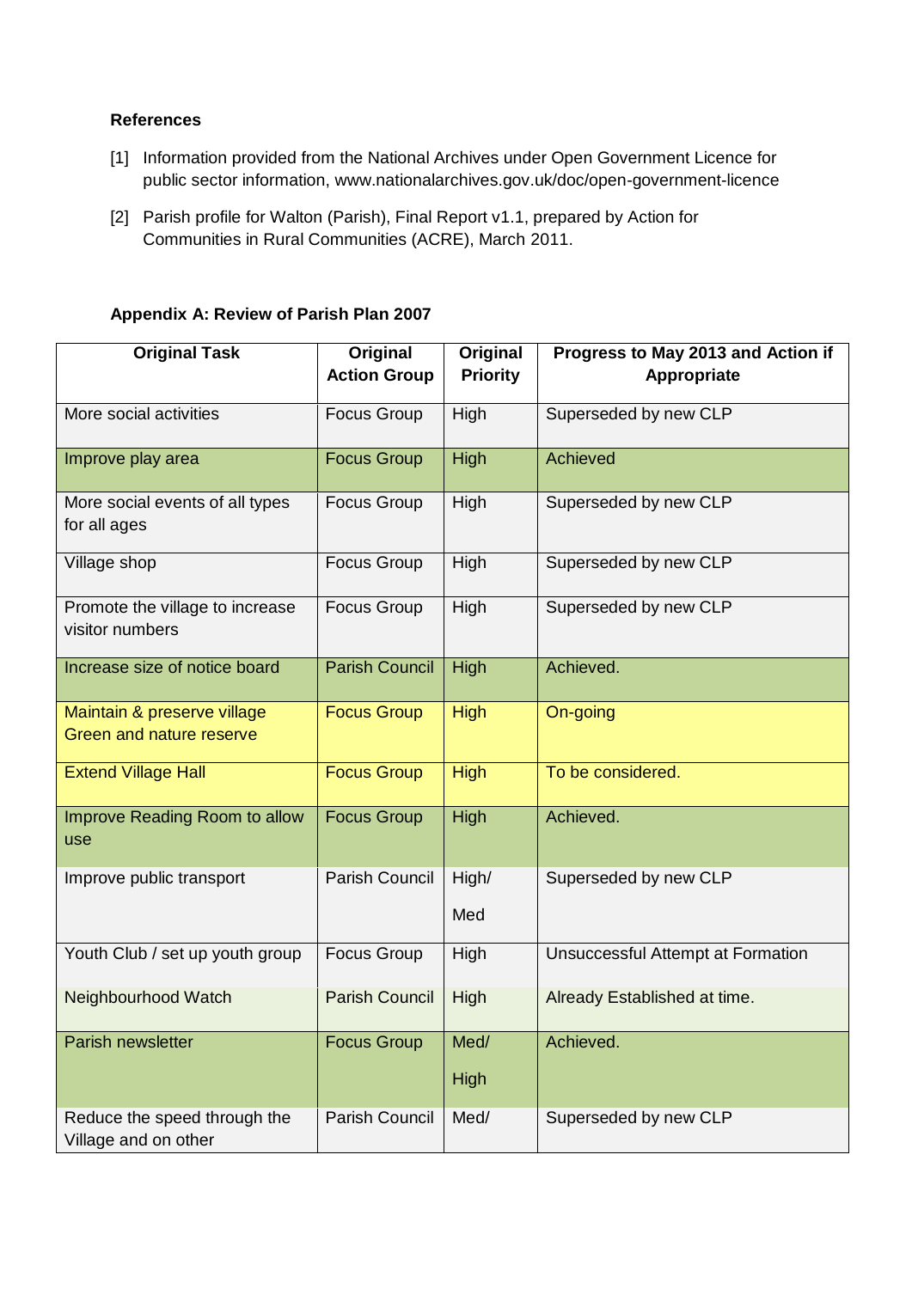#### **References**

- [1] Information provided from the National Archives under Open Government Licence for public sector information, www.nationalarchives.gov.uk/doc/open-government-licence
- [2] Parish profile for Walton (Parish), Final Report v1.1, prepared by Action for Communities in Rural Communities (ACRE), March 2011.

| <b>Original Task</b>                                           | Original<br><b>Action Group</b> | Original<br><b>Priority</b> | Progress to May 2013 and Action if<br>Appropriate |  |
|----------------------------------------------------------------|---------------------------------|-----------------------------|---------------------------------------------------|--|
| More social activities                                         | <b>Focus Group</b>              | High                        | Superseded by new CLP                             |  |
| Improve play area                                              | <b>Focus Group</b>              | High                        | Achieved                                          |  |
| More social events of all types<br>for all ages                | <b>Focus Group</b>              | High                        | Superseded by new CLP                             |  |
| Village shop                                                   | <b>Focus Group</b>              | High                        | Superseded by new CLP                             |  |
| Promote the village to increase<br>visitor numbers             | <b>Focus Group</b>              | High                        | Superseded by new CLP                             |  |
| Increase size of notice board                                  | <b>Parish Council</b>           | High                        | Achieved.                                         |  |
| Maintain & preserve village<br><b>Green and nature reserve</b> | <b>Focus Group</b>              | <b>High</b>                 | On-going                                          |  |
| <b>Extend Village Hall</b>                                     | <b>Focus Group</b>              | <b>High</b>                 | To be considered.                                 |  |
| Improve Reading Room to allow<br>use                           | <b>Focus Group</b>              | High                        | Achieved.                                         |  |
| Improve public transport                                       | Parish Council                  | High/                       | Superseded by new CLP                             |  |
|                                                                |                                 | Med                         |                                                   |  |
| Youth Club / set up youth group                                | <b>Focus Group</b>              | High                        | Unsuccessful Attempt at Formation                 |  |
| Neighbourhood Watch                                            | <b>Parish Council</b>           | High                        | Already Established at time.                      |  |
| Parish newsletter                                              | <b>Focus Group</b>              | Med/                        | Achieved.                                         |  |
|                                                                |                                 | High                        |                                                   |  |
| Reduce the speed through the<br>Village and on other           | Parish Council                  | Med/                        | Superseded by new CLP                             |  |

#### **Appendix A: Review of Parish Plan 2007**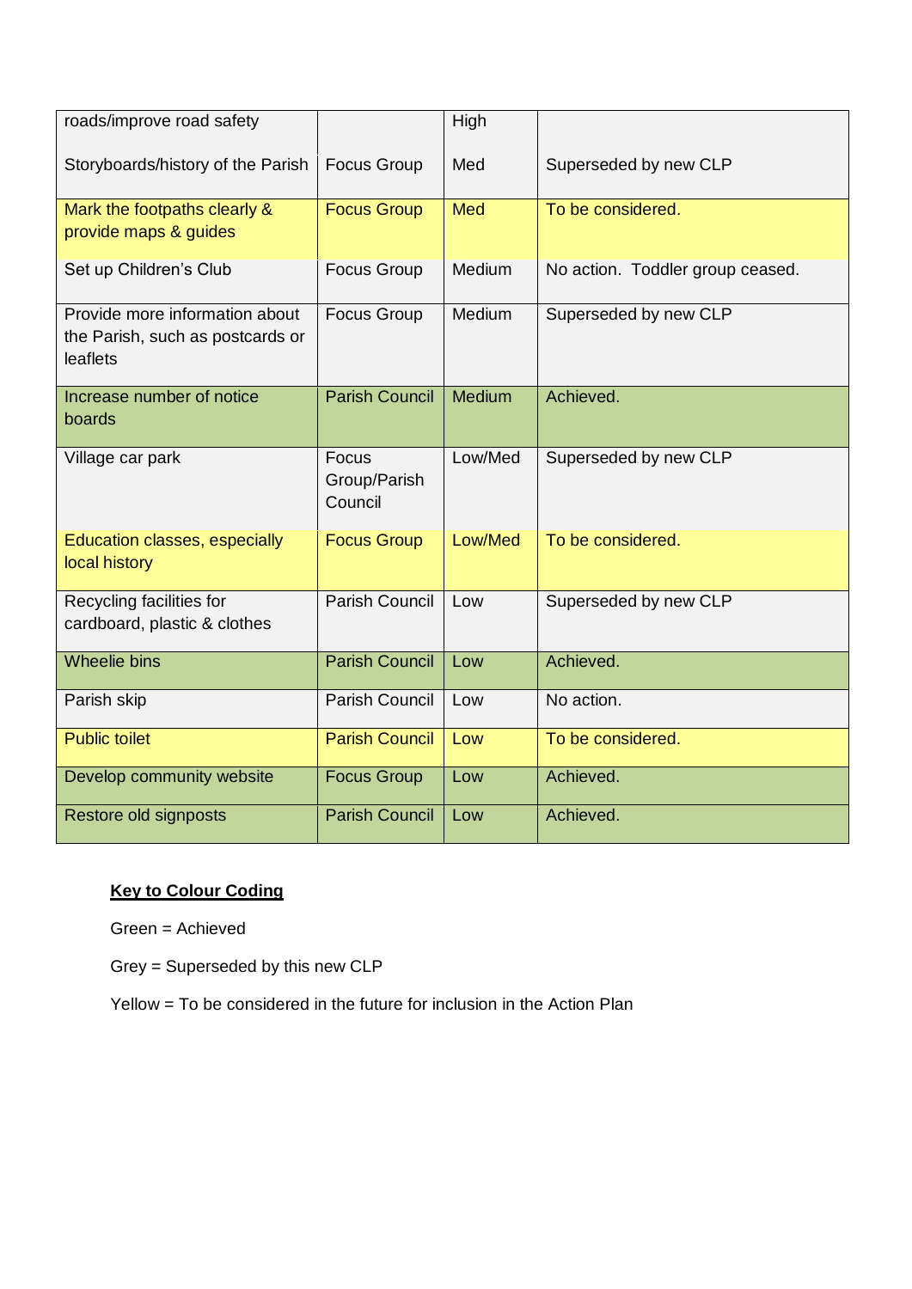| roads/improve road safety                                                      |                                  | High          |                                  |
|--------------------------------------------------------------------------------|----------------------------------|---------------|----------------------------------|
| Storyboards/history of the Parish                                              | <b>Focus Group</b>               | Med           | Superseded by new CLP            |
| Mark the footpaths clearly &<br>provide maps & guides                          | <b>Focus Group</b>               | <b>Med</b>    | To be considered.                |
| Set up Children's Club                                                         | <b>Focus Group</b>               | Medium        | No action. Toddler group ceased. |
| Provide more information about<br>the Parish, such as postcards or<br>leaflets | <b>Focus Group</b>               | Medium        | Superseded by new CLP            |
| Increase number of notice<br>boards                                            | <b>Parish Council</b>            | <b>Medium</b> | Achieved.                        |
| Village car park                                                               | Focus<br>Group/Parish<br>Council | Low/Med       | Superseded by new CLP            |
| Education classes, especially<br>local history                                 | <b>Focus Group</b>               | Low/Med       | To be considered.                |
| Recycling facilities for<br>cardboard, plastic & clothes                       | <b>Parish Council</b>            | Low           | Superseded by new CLP            |
| <b>Wheelie bins</b>                                                            | <b>Parish Council</b>            | Low           | Achieved.                        |
| Parish skip                                                                    | <b>Parish Council</b>            | Low           | No action.                       |
| <b>Public toilet</b>                                                           | <b>Parish Council</b>            | Low           | To be considered.                |
| Develop community website                                                      | <b>Focus Group</b>               | Low           | Achieved.                        |
| Restore old signposts                                                          | <b>Parish Council</b>            | Low           | Achieved.                        |

# **Key to Colour Coding**

Green = Achieved

Grey = Superseded by this new CLP

Yellow = To be considered in the future for inclusion in the Action Plan